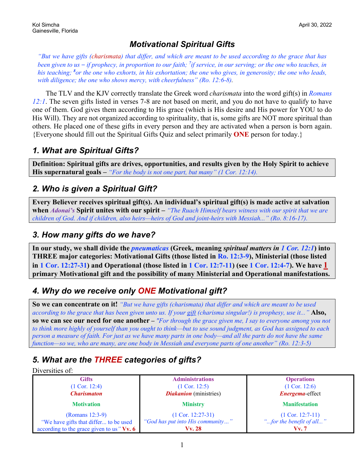## *Motivational Spiritual Gifts*

*"But we have gifts (charismata) that differ, and which are meant to be used according to the grace that has been given to us – if prophecy, in proportion to our faith; <sup>7</sup> if service, in our serving; or the one who teaches, in his teaching; <sup>8</sup> or the one who exhorts, in his exhortation; the one who gives, in generosity; the one who leads, with diligence; the one who shows mercy, with cheerfulness" (Ro. 12:6-8).*

The TLV and the KJV correctly translate the Greek word *charismata* into the word gift(s) in *Romans 12:1*. The seven gifts listed in verses 7-8 are not based on merit, and you do not have to qualify to have one of them. God gives them according to His grace (which is His desire and His power for YOU to do His Will). They are not organized according to spirituality, that is, some gifts are NOT more spiritual than others. He placed one of these gifts in every person and they are activated when a person is born again. {Everyone should fill out the Spiritual Gifts Quiz and select primarily **ONE** person for today.}

### *1. What are Spiritual Gifts?*

**Definition: Spiritual gifts are drives, opportunities, and results given by the Holy Spirit to achieve His supernatural goals –** *"For the body is not one part, but many" (1 Cor. 12:14).*

## *2. Who is given a Spiritual Gift?*

**Every Believer receives spiritual gift(s). An individual's spiritual gift(s) is made active at salvation when** *Adonai's* **Spirit unites with our spirit –** *"The Ruach Himself bears witness with our spirit that we are children of God. And if children, also heirs—heirs of God and joint-heirs with Messiah..." (Ro. 8:16-17).*

## *3. How many gifts do we have?*

**In our study, we shall divide the** *pneumaticas* **(Greek, meaning** *spiritual matters in 1 Cor. 12:1***) into THREE major categories: Motivational Gifts (those listed in Ro. 12:3-9), Ministerial (those listed in 1 Cor. 12:27-31) and Operational (those listed in 1 Cor. 12:7-11) (see 1 Cor. 12:4-7). We have 1 primary Motivational gift and the possibility of many Ministerial and Operational manifestations.**

# *4. Why do we receive only ONE Motivational gift?*

**So we can concentrate on it!** *"But we have gifts (charismata) that differ and which are meant to be used according to the grace that has been given unto us. If your gift (charisma singular!) is prophesy, use it..."* **Also, so we can see our need for one another** *– "For through the grace given me, I say to everyone among you not to think more highly of yourself than you ought to think—but to use sound judgment, as God has assigned to each person a measure of faith. For just as we have many parts in one body—and all the parts do not have the same function—so we, who are many, are one body in Messiah and everyone parts of one another" (Ro. 12:3-5)*

# *5. What are the THREE categories of gifts?*

#### Diversities of:

| <b>Gifts</b>                              | <b>Administrations</b>           | <b>Operations</b>        |
|-------------------------------------------|----------------------------------|--------------------------|
| $(1 \text{ Cor. } 12:4)$                  | $(1$ Cor. 12:5)                  | $(1$ Cor. 12:6)          |
| <b>Charismaton</b>                        | <b>Diakanion</b> (ministries)    | <b>Energema-effect</b>   |
| <b>Motivation</b>                         | <b>Ministry</b>                  | <b>Manifestation</b>     |
| (Romans 12:3-9)                           | $(1$ Cor. 12:27-31)              | $(1$ Cor. 12:7-11)       |
| "We have gifts that differ to be used     | "God has put into His community" | "for the benefit of all" |
| according to the grace given to us "Vv. 6 | Vv. 28                           | Vv.7                     |